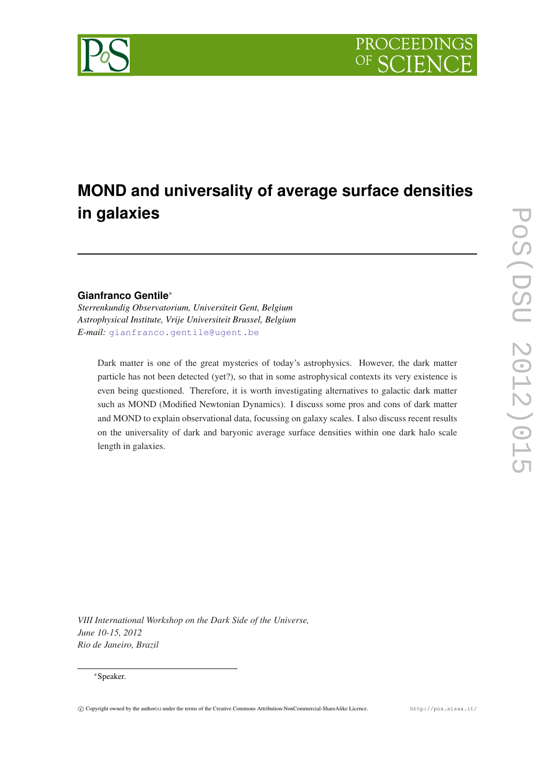

# **MOND and universality of average surface densities in galaxies**

## **Gianfranco Gentile**<sup>∗</sup>

*Sterrenkundig Observatorium, Universiteit Gent, Belgium Astrophysical Institute, Vrije Universiteit Brussel, Belgium E-mail:* [gianfranco.gentile@ugent.be](mailto:gianfranco.gentile@ugent.be)

Dark matter is one of the great mysteries of today's astrophysics. However, the dark matter particle has not been detected (yet?), so that in some astrophysical contexts its very existence is even being questioned. Therefore, it is worth investigating alternatives to galactic dark matter such as MOND (Modified Newtonian Dynamics). I discuss some pros and cons of dark matter and MOND to explain observational data, focussing on galaxy scales. I also discuss recent results on the universality of dark and baryonic average surface densities within one dark halo scale length in galaxies.

*VIII International Workshop on the Dark Side of the Universe, June 10-15, 2012 Rio de Janeiro, Brazil*

#### <sup>∗</sup>Speaker.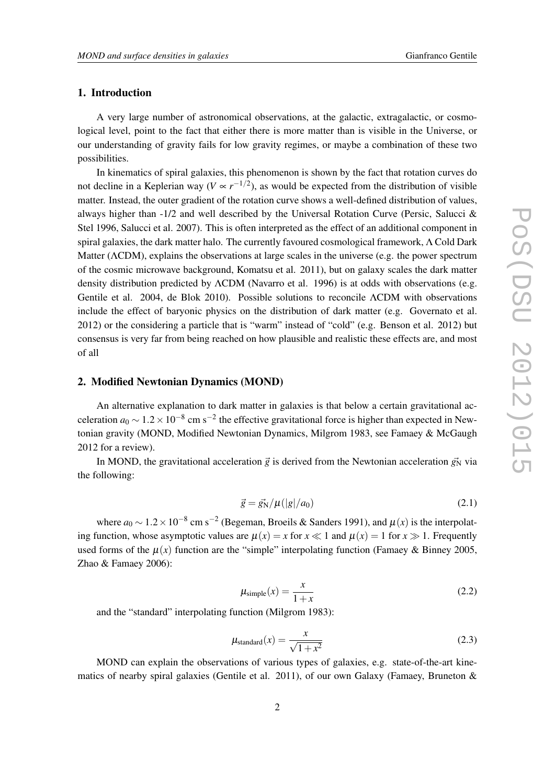### <span id="page-1-0"></span>1. Introduction

A very large number of astronomical observations, at the galactic, extragalactic, or cosmological level, point to the fact that either there is more matter than is visible in the Universe, or our understanding of gravity fails for low gravity regimes, or maybe a combination of these two possibilities.

In kinematics of spiral galaxies, this phenomenon is shown by the fact that rotation curves do not decline in a Keplerian way ( $V \propto r^{-1/2}$ ), as would be expected from the distribution of visible matter. Instead, the outer gradient of the rotation curve shows a well-defined distribution of values, always higher than -1/2 and well described by the Universal Rotation Curve (Persic, Salucci & Stel 1996, Salucci et al. 2007). This is often interpreted as the effect of an additional component in spiral galaxies, the dark matter halo. The currently favoured cosmological framework, Λ Cold Dark Matter (ΛCDM), explains the observations at large scales in the universe (e.g. the power spectrum of the cosmic microwave background, Komatsu et al. 2011), but on galaxy scales the dark matter density distribution predicted by ΛCDM (Navarro et al. 1996) is at odds with observations (e.g. Gentile et al. 2004, de Blok 2010). Possible solutions to reconcile ΛCDM with observations include the effect of baryonic physics on the distribution of dark matter (e.g. Governato et al. 2012) or the considering a particle that is "warm" instead of "cold" (e.g. Benson et al. 2012) but consensus is very far from being reached on how plausible and realistic these effects are, and most of all

#### 2. Modified Newtonian Dynamics (MOND)

An alternative explanation to dark matter in galaxies is that below a certain gravitational acceleration  $a_0 \sim 1.2 \times 10^{-8}$  cm s<sup>-2</sup> the effective gravitational force is higher than expected in Newtonian gravity (MOND, Modified Newtonian Dynamics, Milgrom 1983, see Famaey & McGaugh 2012 for a review).

In MOND, the gravitational acceleration  $\vec{g}$  is derived from the Newtonian acceleration  $\vec{g}_{N}$  via the following:

$$
\vec{g} = \vec{g}_N / \mu(|g|/a_0) \tag{2.1}
$$

where  $a_0 \sim 1.2 \times 10^{-8}$  cm s<sup>-2</sup> (Begeman, Broeils & Sanders 1991), and  $\mu(x)$  is the interpolating function, whose asymptotic values are  $\mu(x) = x$  for  $x \ll 1$  and  $\mu(x) = 1$  for  $x \gg 1$ . Frequently used forms of the  $\mu(x)$  function are the "simple" interpolating function (Famaey & Binney 2005, Zhao & Famaey 2006):

$$
\mu_{\text{simple}}(x) = \frac{x}{1+x} \tag{2.2}
$$

and the "standard" interpolating function (Milgrom 1983):

$$
\mu_{\text{standard}}(x) = \frac{x}{\sqrt{1 + x^2}} \tag{2.3}
$$

MOND can explain the observations of various types of galaxies, e.g. state-of-the-art kinematics of nearby spiral galaxies (Gentile et al. 2011), of our own Galaxy (Famaey, Bruneton &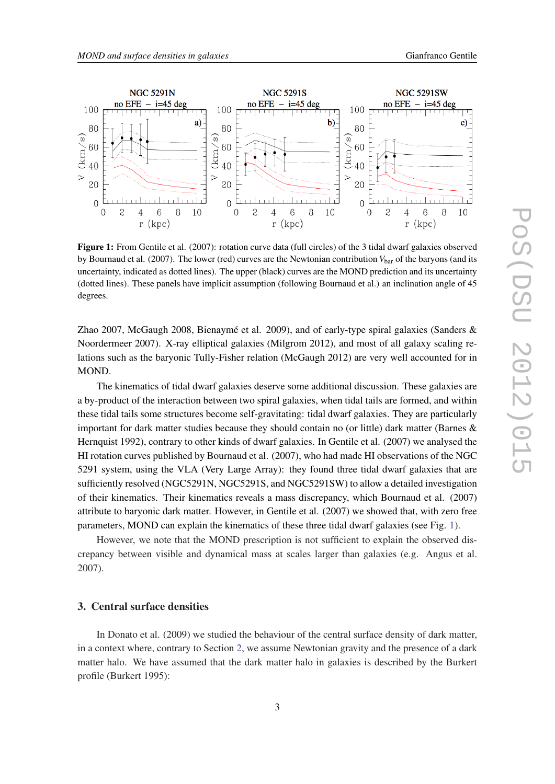

Figure 1: From Gentile et al. (2007): rotation curve data (full circles) of the 3 tidal dwarf galaxies observed by Bournaud et al. (2007). The lower (red) curves are the Newtonian contribution  $V_{\text{bar}}$  of the baryons (and its uncertainty, indicated as dotted lines). The upper (black) curves are the MOND prediction and its uncertainty (dotted lines). These panels have implicit assumption (following Bournaud et al.) an inclination angle of 45 degrees.

Zhao 2007, McGaugh 2008, Bienaymé et al. 2009), and of early-type spiral galaxies (Sanders & Noordermeer 2007). X-ray elliptical galaxies (Milgrom 2012), and most of all galaxy scaling relations such as the baryonic Tully-Fisher relation (McGaugh 2012) are very well accounted for in MOND.

The kinematics of tidal dwarf galaxies deserve some additional discussion. These galaxies are a by-product of the interaction between two spiral galaxies, when tidal tails are formed, and within these tidal tails some structures become self-gravitating: tidal dwarf galaxies. They are particularly important for dark matter studies because they should contain no (or little) dark matter (Barnes & Hernquist 1992), contrary to other kinds of dwarf galaxies. In Gentile et al. (2007) we analysed the HI rotation curves published by Bournaud et al. (2007), who had made HI observations of the NGC 5291 system, using the VLA (Very Large Array): they found three tidal dwarf galaxies that are sufficiently resolved (NGC5291N, NGC5291S, and NGC5291SW) to allow a detailed investigation of their kinematics. Their kinematics reveals a mass discrepancy, which Bournaud et al. (2007) attribute to baryonic dark matter. However, in Gentile et al. (2007) we showed that, with zero free parameters, MOND can explain the kinematics of these three tidal dwarf galaxies (see Fig. 1).

However, we note that the MOND prescription is not sufficient to explain the observed discrepancy between visible and dynamical mass at scales larger than galaxies (e.g. Angus et al. 2007).

#### 3. Central surface densities

In Donato et al. (2009) we studied the behaviour of the central surface density of dark matter, in a context where, contrary to Section [2](#page-1-0), we assume Newtonian gravity and the presence of a dark matter halo. We have assumed that the dark matter halo in galaxies is described by the Burkert profile (Burkert 1995):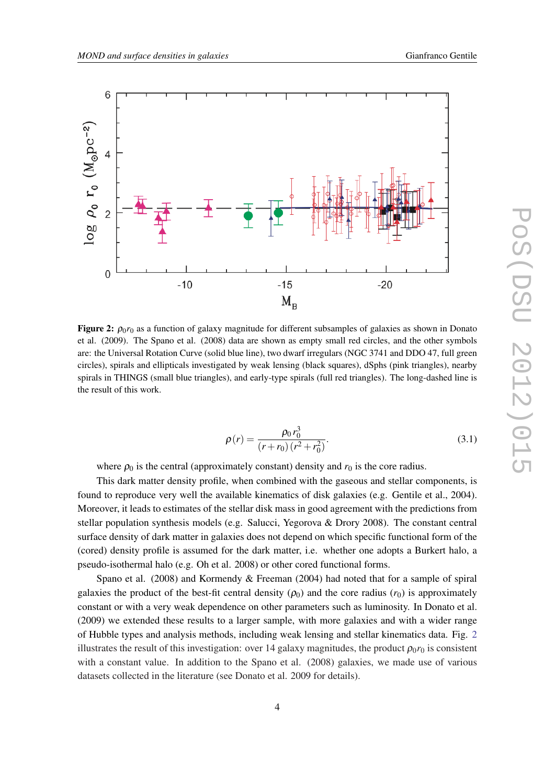

**Figure 2:**  $\rho_0 r_0$  as a function of galaxy magnitude for different subsamples of galaxies as shown in Donato et al. (2009). The Spano et al. (2008) data are shown as empty small red circles, and the other symbols are: the Universal Rotation Curve (solid blue line), two dwarf irregulars (NGC 3741 and DDO 47, full green circles), spirals and ellipticals investigated by weak lensing (black squares), dSphs (pink triangles), nearby spirals in THINGS (small blue triangles), and early-type spirals (full red triangles). The long-dashed line is the result of this work.

$$
\rho(r) = \frac{\rho_0 r_0^3}{(r + r_0)(r^2 + r_0^2)}.
$$
\n(3.1)

where  $\rho_0$  is the central (approximately constant) density and  $r_0$  is the core radius.

This dark matter density profile, when combined with the gaseous and stellar components, is found to reproduce very well the available kinematics of disk galaxies (e.g. Gentile et al., 2004). Moreover, it leads to estimates of the stellar disk mass in good agreement with the predictions from stellar population synthesis models (e.g. Salucci, Yegorova & Drory 2008). The constant central surface density of dark matter in galaxies does not depend on which specific functional form of the (cored) density profile is assumed for the dark matter, i.e. whether one adopts a Burkert halo, a pseudo-isothermal halo (e.g. Oh et al. 2008) or other cored functional forms.

Spano et al. (2008) and Kormendy & Freeman (2004) had noted that for a sample of spiral galaxies the product of the best-fit central density  $(\rho_0)$  and the core radius  $(r_0)$  is approximately constant or with a very weak dependence on other parameters such as luminosity. In Donato et al. (2009) we extended these results to a larger sample, with more galaxies and with a wider range of Hubble types and analysis methods, including weak lensing and stellar kinematics data. Fig. 2 illustrates the result of this investigation: over 14 galaxy magnitudes, the product  $\rho_0 r_0$  is consistent with a constant value. In addition to the Spano et al. (2008) galaxies, we made use of various datasets collected in the literature (see Donato et al. 2009 for details).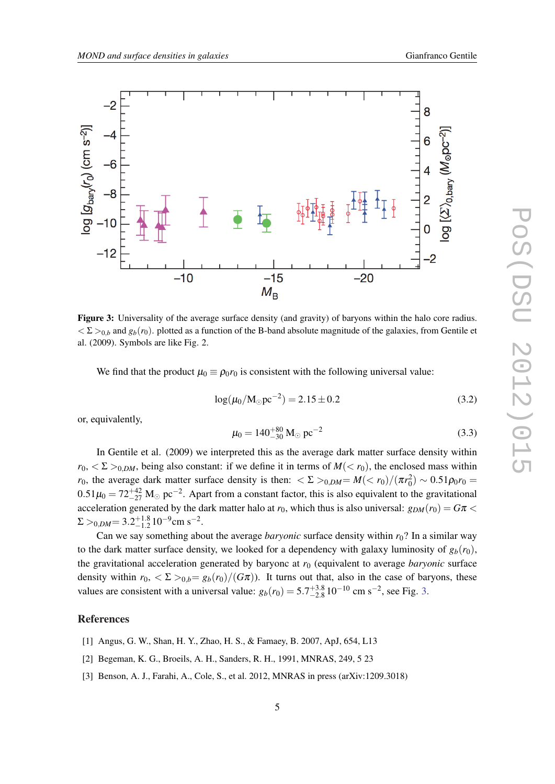

Figure 3: Universality of the average surface density (and gravity) of baryons within the halo core radius.  $\langle \Sigma \rangle_{0,b}$  and  $g_b(r_0)$ . plotted as a function of the B-band absolute magnitude of the galaxies, from Gentile et al. (2009). Symbols are like Fig. 2.

We find that the product  $\mu_0 \equiv \rho_0 r_0$  is consistent with the following universal value:

$$
log(\mu_0/M_\odot pc^{-2}) = 2.15 \pm 0.2\tag{3.2}
$$

or, equivalently,

$$
\mu_0 = 140^{+80}_{-30} \, \text{M}_{\odot} \, \text{pc}^{-2} \tag{3.3}
$$

In Gentile et al. (2009) we interpreted this as the average dark matter surface density within  $r_0$ ,  $\langle \Sigma \rangle_{0,DM}$ , being also constant: if we define it in terms of  $M(\langle r_0 \rangle)$ , the enclosed mass within *r*<sub>0</sub>, the average dark matter surface density is then:  $\langle \Sigma \rangle_{0,DM} = M(\langle r_0 \rangle / (\pi r_0^2) \sim 0.51 \rho_0 r_0 =$  $0.51\mu_0 = 72_{-27}^{+42}$  M<sub>☉</sub> pc<sup>-2</sup>. Apart from a constant factor, this is also equivalent to the gravitational acceleration generated by the dark matter halo at  $r_0$ , which thus is also universal:  $g_{DM}(r_0) = G\pi <$  $\Sigma >_{0,DM} = 3.2^{+1.8}_{-1.2} 10^{-9}$  cm s<sup>-2</sup>.

Can we say something about the average *baryonic* surface density within *r*0? In a similar way to the dark matter surface density, we looked for a dependency with galaxy luminosity of  $g_b(r_0)$ , the gravitational acceleration generated by baryonc at  $r_0$  (equivalent to average *baryonic* surface density within  $r_0$ ,  $\langle \Sigma \rangle_{0,b} = g_b(r_0)/(G\pi)$ . It turns out that, also in the case of baryons, these values are consistent with a universal value:  $g_b(r_0) = 5.7^{+3.8}_{-2.8} 10^{-10}$  cm s<sup>-2</sup>, see Fig. 3.

#### References

- [1] Angus, G. W., Shan, H. Y., Zhao, H. S., & Famaey, B. 2007, ApJ, 654, L13
- [2] Begeman, K. G., Broeils, A. H., Sanders, R. H., 1991, MNRAS, 249, 5 23
- [3] Benson, A. J., Farahi, A., Cole, S., et al. 2012, MNRAS in press (arXiv:1209.3018)